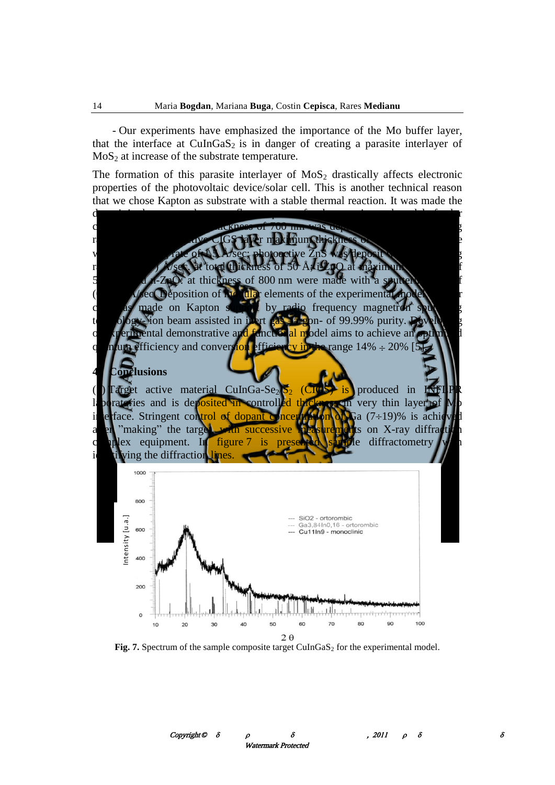- Our experiments have emphasized the importance of the Mo buffer layer, that the interface at  $CuInGaS<sub>2</sub>$  is in danger of creating a parasite interlayer of  $MoS<sub>2</sub>$  at increase of the substrate temperature.

The formation of this parasite interlayer of  $MoS<sub>2</sub>$  drastically affects electronic properties of the photovoltaic device/solar cell. This is another technical reason that we chose Kapton as substrate with a stable thermal reaction. It was made the deposit in the proposed process flow sequence for the experimental model of solar cell as follows: Mo layer thickness of 700 nm was deposited with the sputtering rate (0.7 $\div$ 1) Å/sec; active CIGS layer maximum thickness of 1500 nm was made with a sputtering rate of 1.5 Å/sec; photoactive ZnS was deposit with a sputtering rate of  $(6.5\div7)$  Å/sec. at total thickness of 50 Å; i-ZnO at maximum thickness of 500 nm and n-ZnO: at thickness of 800 nm were made with a sputtering rate of  $(0.5\div 1)$  Å/sec. Deposition of modular elements of the experimental model of solar cell was made on Kapton support by radio frequency magnetron sputtering technology- ion beam assisted in inert gas –argon- of 99.99% purity. Developing of experimental demonstrative and functional model aims to achieve an optimized quantum efficiency and conversion efficiency in the range  $14\% \div 20\%$  [5].

## **4. Conclusions**

(1) Target active material CuInGa-Se<sub>2</sub>/S<sub>2</sub> (CIGS) is produced in INFLPR laboratories and is deposited in controlled thickness in very thin layer of Mo interface. Stringent control of dopant concentration of Ga  $(7\div 19)$ % is achieved after "making" the target, with successive measurements on X-ray diffraction complex equipment. In figure 7 is presented sample diffractometry with identifying the diffraction lines.



Fig. 7. Spectrum of the sample composite target CuInGaS<sub>2</sub> for the experimental model.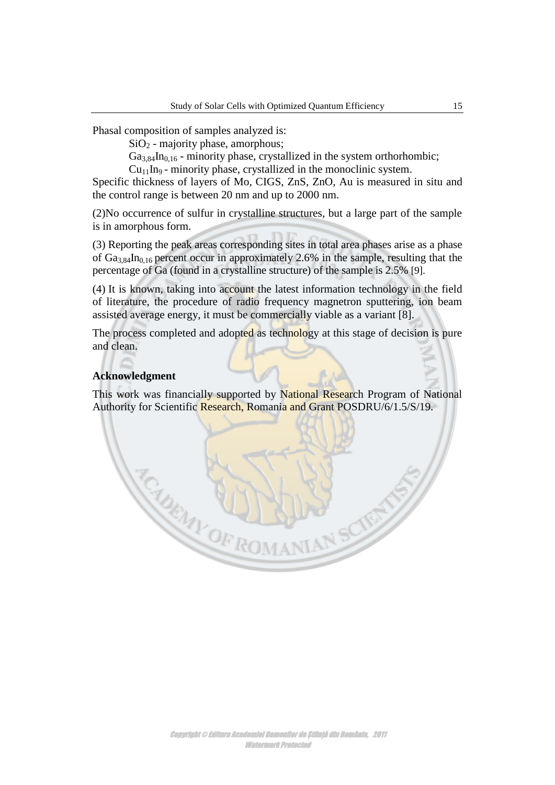Phasal composition of samples analyzed is:

 $SiO<sub>2</sub>$  - majority phase, amorphous;

 $Ga_{3,84}$ In<sub>0,16</sub> - minority phase, crystallized in the system orthorhombic;

 $Cu<sub>11</sub>$ In<sub>9</sub> - minority phase, crystallized in the monoclinic system.

Specific thickness of layers of Mo, CIGS, ZnS, ZnO, Au is measured in situ and the control range is between 20 nm and up to 2000 nm.

(2)No occurrence of sulfur in crystalline structures, but a large part of the sample is in amorphous form.

(3) Reporting the peak areas corresponding sites in total area phases arise as a phase of  $Ga_{3.84}$ In<sub>0.16</sub> percent occur in approximately 2.6% in the sample, resulting that the percentage of Ga (found in a crystalline structure) of the sample is 2.5% [9].

(4) It is known, taking into account the latest information technology in the field of literature, the procedure of radio frequency magnetron sputtering, ion beam assisted average energy, it must be commercially viable as a variant [8].

The process completed and adopted as technology at this stage of decision is pure and clean.

## **Acknowledgment**

CADEM

This work was financially supported by National Research Program of National Authority for Scientific Research, Romania and Grant POSDRU/6/1.5/S/19.

YOFROMA